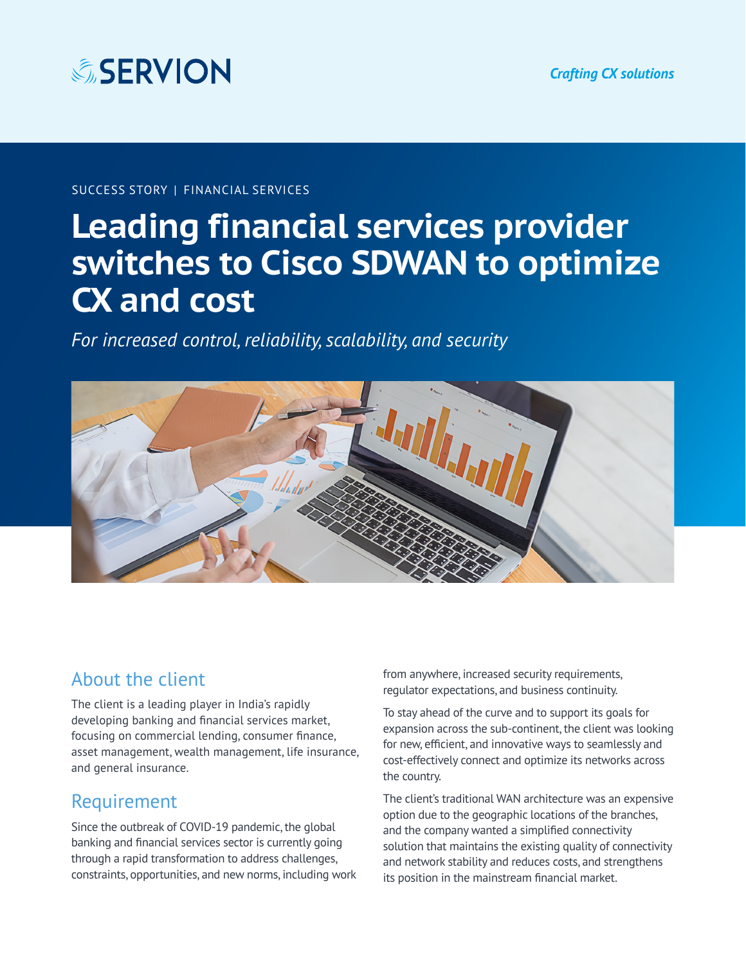

#### SUCCESS STORY | FINANCIAL SERVICES

# **Leading financial services provider switches to Cisco SDWAN to optimize CX and cost**

*For increased control, reliability, scalability, and security*



### About the client

The client is a leading player in India's rapidly developing banking and financial services market, focusing on commercial lending, consumer finance, asset management, wealth management, life insurance, and general insurance.

### Requirement

Since the outbreak of COVID-19 pandemic, the global banking and financial services sector is currently going through a rapid transformation to address challenges, constraints, opportunities, and new norms, including work from anywhere, increased security requirements, regulator expectations, and business continuity.

To stay ahead of the curve and to support its goals for expansion across the sub-continent, the client was looking for new, efficient, and innovative ways to seamlessly and cost-effectively connect and optimize its networks across the country.

The client's traditional WAN architecture was an expensive option due to the geographic locations of the branches, and the company wanted a simplified connectivity solution that maintains the existing quality of connectivity and network stability and reduces costs, and strengthens its position in the mainstream financial market.